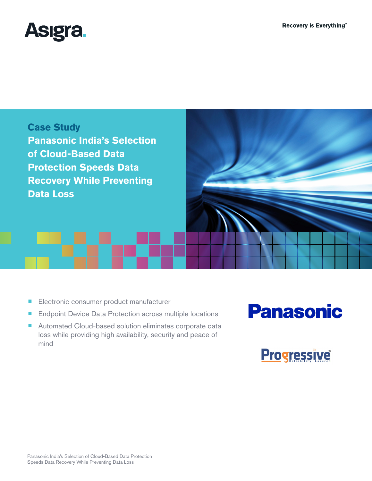



- Electronic consumer product manufacturer
- Endpoint Device Data Protection across multiple locations
- Automated Cloud-based solution eliminates corporate data loss while providing high availability, security and peace of mind

# **Panasonic**

**Progressive**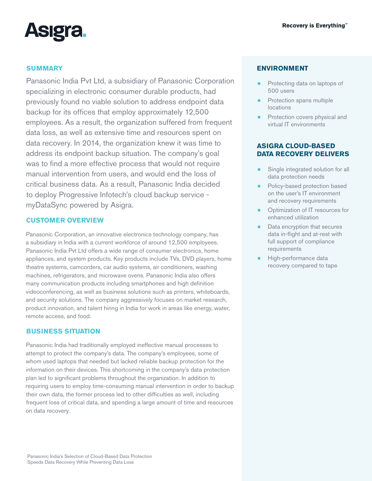

# **SUMMARY**

Panasonic India Pvt Ltd, a subsidiary of Panasonic Corporation specializing in electronic consumer durable products, had previously found no viable solution to address endpoint data backup for its offices that employ approximately 12,500 employees. As a result, the organization suffered from frequent data loss, as well as extensive time and resources spent on data recovery. In 2014, the organization knew it was time to address its endpoint backup situation. The company's goal was to find a more effective process that would not require manual intervention from users, and would end the loss of critical business data. As a result, Panasonic India decided to deploy Progressive Infotech's cloud backup service myDataSync powered by Asigra.

# **CUSTOMER OVERVIEW**

Panasonic Corporation, an innovative electronics technology company, has a subsidiary in India with a current workforce of around 12,500 employees. Panasonic India Pvt Ltd offers a wide range of consumer electronics, home appliances, and system products. Key products include TVs, DVD players, home theatre systems, camcorders, car audio systems, air conditioners, washing machines, refrigerators, and microwave ovens. Panasonic India also offers many communication products including smartphones and high definition videoconferencing, as well as business solutions such as printers, whiteboards, and security solutions. The company aggressively focuses on market research, product innovation, and talent hiring in India for work in areas like energy, water, remote access, and food.

# **BUSINESS SITUATION**

Panasonic India had traditionally employed ineffective manual processes to attempt to protect the company's data. The company's employees, some of whom used laptops that needed but lacked reliable backup protection for the information on their devices. This shortcoming in the company's data protection plan led to significant problems throughout the organization. In addition to requiring users to employ time-consuming manual intervention in order to backup their own data, the former process led to other difficulties as well, including frequent loss of critical data, and spending a large amount of time and resources on data recovery.

#### **ENVIRONMENT**

- Protecting data on laptops of 500 users
- Protection spans multiple locations
- Protection covers physical and virtual IT environments

# **ASIGRA CLOUD-BASED DATA RECOVERY DELIVERS**

- Single integrated solution for all data protection needs
- Policy-based protection based on the user's IT environment and recovery requirements
- ¾ Optimization of IT resources for enhanced utilization
- Data encryption that secures data in-flight and at-rest with full support of compliance requirements
- High-performance data recovery compared to tape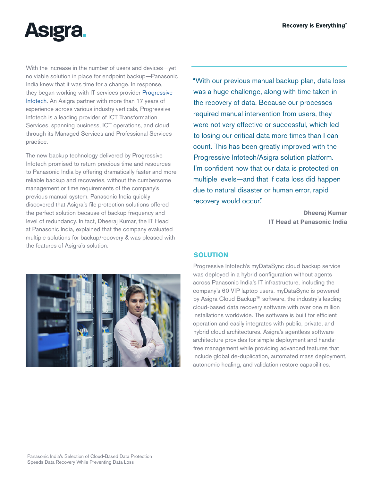

With the increase in the number of users and devices—yet no viable solution in place for endpoint backup—Panasonic India knew that it was time for a change. In response, they began working with IT services provider [Progressive](http://www.progressive.in/)  [Infotech.](http://www.progressive.in/) An Asigra partner with more than 17 years of experience across various industry verticals, Progressive Infotech is a leading provider of ICT Transformation Services, spanning business, ICT operations, and cloud through its Managed Services and Professional Services practice.

The new backup technology delivered by Progressive Infotech promised to return precious time and resources to Panasonic India by offering dramatically faster and more reliable backup and recoveries, without the cumbersome management or time requirements of the company's previous manual system. Panasonic India quickly discovered that Asigra's file protection solutions offered the perfect solution because of backup frequency and level of redundancy. In fact, Dheeraj Kumar, the IT Head at Panasonic India, explained that the company evaluated multiple solutions for backup/recovery & was pleased with the features of Asigra's solution.

"With our previous manual backup plan, data loss was a huge challenge, along with time taken in the recovery of data. Because our processes required manual intervention from users, they were not very effective or successful, which led to losing our critical data more times than I can count. This has been greatly improved with the Progressive Infotech/Asigra solution platform. I'm confident now that our data is protected on multiple levels—and that if data loss did happen due to natural disaster or human error, rapid recovery would occur."

> **Dheeraj Kumar IT Head at Panasonic India**



#### **SOLUTION**

Progressive Infotech's myDataSync cloud backup service was deployed in a hybrid configuration without agents across Panasonic India's IT infrastructure, including the company's 60 VIP laptop users. myDataSync is powered by Asigra Cloud Backup™ software, the industry's leading cloud-based data recovery software with over one million installations worldwide. The software is built for efficient operation and easily integrates with public, private, and hybrid cloud architectures. Asigra's agentless software architecture provides for simple deployment and handsfree management while providing advanced features that include global de-duplication, automated mass deployment, autonomic healing, and validation restore capabilities.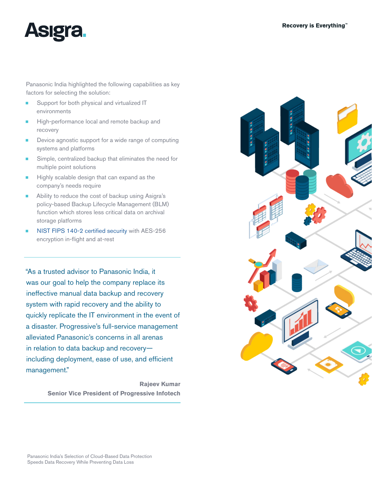

Panasonic India highlighted the following capabilities as key factors for selecting the solution:

- Support for both physical and virtualized IT environments
- High-performance local and remote backup and recovery
- Device agnostic support for a wide range of computing systems and platforms
- Simple, centralized backup that eliminates the need for multiple point solutions
- **EXECUTE:** Highly scalable design that can expand as the company's needs require
- Ability to reduce the cost of backup using Asigra's policy-based Backup Lifecycle Management (BLM) function which stores less critical data on archival storage platforms
- [NIST FIPS 140-2 certified security](http://www.asigra.com/fips-140-2-certification-backup) with AES-256 encryption in-flight and at-rest

"As a trusted advisor to Panasonic India, it was our goal to help the company replace its ineffective manual data backup and recovery system with rapid recovery and the ability to quickly replicate the IT environment in the event of a disaster. Progressive's full-service management alleviated Panasonic's concerns in all arenas in relation to data backup and recovery including deployment, ease of use, and efficient management."

> **Rajeev Kumar Senior Vice President of Progressive Infotech**